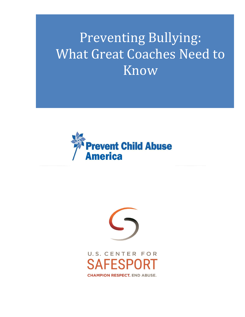# Preventing Bullying: What Great Coaches Need to **Know**





U.S. CENTER FOR ESPO **CHAMPION RESPECT. END ABUSE.**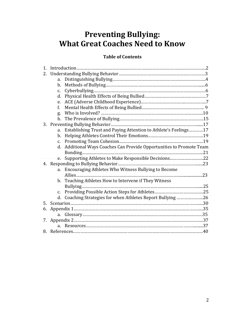### **Preventing Bullying: What Great Coaches Need to Know**

#### **Table of Contents**

| $\mathbf{1}$ . |                |                                                                   |  |
|----------------|----------------|-------------------------------------------------------------------|--|
| 2.             |                |                                                                   |  |
|                | a.             |                                                                   |  |
|                | b.             |                                                                   |  |
|                | C.             |                                                                   |  |
|                | d.             |                                                                   |  |
|                | e.             |                                                                   |  |
|                | f.             |                                                                   |  |
|                | g.             |                                                                   |  |
|                | h.             |                                                                   |  |
|                |                |                                                                   |  |
|                | a.             | Establishing Trust and Paying Attention to Athlete's Feelings17   |  |
|                | b.             |                                                                   |  |
|                | $C_{\bullet}$  |                                                                   |  |
|                | d.             | Additional Ways Coaches Can Provide Opportunities to Promote Team |  |
|                |                |                                                                   |  |
|                | e.             | Supporting Athletes to Make Responsible Decisions22               |  |
|                |                |                                                                   |  |
|                | a.             | Encouraging Athletes Who Witness Bullying to Become               |  |
|                |                |                                                                   |  |
|                | b.             | Teaching Athletes How to Intervene if They Witness                |  |
|                |                |                                                                   |  |
|                | c.             |                                                                   |  |
|                | d.             | Coaching Strategies for when Athletes Report Bullying 26          |  |
| 5.             |                |                                                                   |  |
| 6.             |                |                                                                   |  |
|                | a.             |                                                                   |  |
| 7.             |                |                                                                   |  |
|                | a <sub>z</sub> |                                                                   |  |
| 8.             |                |                                                                   |  |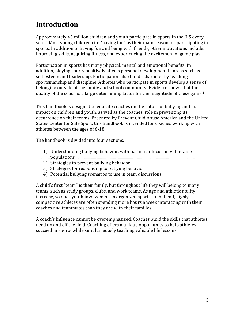### **Introduction**

Approximately 45 million children and youth participate in sports in the U.S every year. <sup>1</sup> Most young children cite "having fun" as their main reason for participating in sports. In addition to having fun and being with friends, other motivations include: improving skills, acquiring fitness, and experiencing the excitement of game play.

Participation in sports has many physical, mental and emotional benefits. In addition, playing sports positively affects personal development in areas such as self-esteem and leadership. Participation also builds character by teaching sportsmanship and discipline. Athletes who participate in sports develop a sense of belonging outside of the family and school community. Evidence shows that the quality of the coach is a large determining factor for the magnitude of these gains. 2

This handbook is designed to educate coaches on the nature of bullying and its impact on children and youth, as well as the coaches' role in preventing its occurrence on their teams. Prepared by Prevent Child Abuse America and the United States Center for Safe Sport, this handbook is intended for coaches working with athletes between the ages of 6-18.

The handbook is divided into four sections:

- 1) Understanding bullying behavior, with particular focus on vulnerable populations
- 2) Strategies to prevent bullying behavior
- 3) Strategies for responding to bullying behavior
- 4) Potential bullying scenarios to use in team discussions

A child's first "team" is their family, but throughout life they will belong to many teams, such as study groups, clubs, and work teams. As age and athletic ability increase, so does youth involvement in organized sport. To that end, highly competitive athletes are often spending more hours a week interacting with their coaches and teammates than they are with their families.

A coach's influence cannot be overemphasized. Coaches build the skills that athletes need on and off the field. Coaching offers a unique opportunity to help athletes succeed in sports while simultaneously teaching valuable life lessons.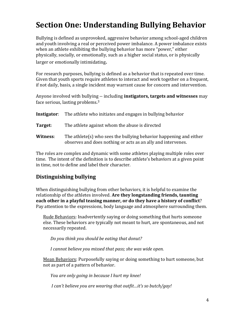### **Section One: Understanding Bullying Behavior**

Bullying is defined as unprovoked, aggressive behavior among school-aged children and youth involving a real or perceived power imbalance. A power imbalance exists when an athlete exhibiting the bullying behavior has more "power," either physically, socially, or emotionally, such as a higher social status, or is physically larger or emotionally intimidating.

For research purposes, bullying is defined as a behavior that is repeated over time. Given that youth sports require athletes to interact and work together on a frequent, if not daily, basis, a single incident may warrant cause for concern and intervention.

Anyone involved with bullying -- including **instigators, targets and witnesses** may face [serious, lasting problems](http://www.stopbullying.gov/at-risk/effects/index.html).<sup>3</sup>

| Instigator: | The athlete who initiates and engages in bullying behavior                                                                         |
|-------------|------------------------------------------------------------------------------------------------------------------------------------|
| Target:     | The athlete against whom the abuse is directed                                                                                     |
| Witness:    | The athlete(s) who sees the bullying behavior happening and either<br>observes and does nothing or acts as an ally and intervenes. |

The roles are complex and dynamic with some athletes playing multiple roles over time. The intent of the definition is to describe athlete's behaviors at a given point in time, not to define and label their character.

#### **Distinguishing bullying**

When distinguishing bullying from other behaviors, it is helpful to examine the relationship of the athletes involved. **Are they longstanding friends, taunting each other in a playful teasing manner, or do they have a history of conflict**? Pay attention to the expressions, body language and atmosphere surrounding them.

Rude Behaviors: Inadvertently saying or doing something that hurts someone else. These behaviors are typically not meant to hurt, are spontaneous, and not necessarily repeated.

*Do you think you should be eating that donut?* 

*I cannot believe you missed that pass; she was wide open.*

Mean Behaviors: Purposefully saying or doing something to hurt someone, but not as part of a pattern of behavior.

*You are only going in because I hurt my knee!* 

*I can't believe you are wearing that outfit…it's so butch/gay!*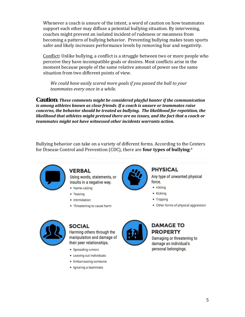Whenever a coach is unsure of the intent, a word of caution on how teammates support each other may diffuse a potential bullying situation. By intervening, coaches might prevent an isolated incident of rudeness or meanness from becoming a pattern of bullying behavior. Preventing bullying makes team sports safer and likely increases performance levels by removing fear and negativity.

Conflict**:** Unlike bullying, a conflict is a struggle between two or more people who perceive they have incompatible goals or desires. Most conflicts arise in the moment because people of the same relative amount of power see the same situation from two different points of view.

*We could have easily scored more goals if you passed the ball to your teammates every once in a while.*

*Caution: These comments might be considered playful banter if the communication is among athletes known as close friends. If a coach is unsure or teammates raise concerns, the behavior should be treated as bullying. The likelihood for repetition, the likelihood that athletes might pretend there are no issues, and the fact that a coach or teammates might not have witnessed other incidents warrants action.* 

Bullying behavior can take on a variety of different forms. According to the Centers for Disease Control and Prevention (CDC), there are **four types of bullying**: 4



#### **VERBAL**

Using words, statements, or insults in a negative way.

- · Name-calling
- Teasing
- · Intimidation
- Threatening to cause harm



#### **PHYSICAL**

Any type of unwanted physical force.

- Hitting
- Kicking
- Tripping
- Other forms of physical aggression



#### **SOCIAL**

Harming others through the manipulation and damage of their peer relationships.

- Spreading rumors
- Leaving out individuals
- Embarrassing someone
- · Ignoring a teammate



#### **DAMAGE TO PROPERTY**

Damaging or threatening to damage an individual's personal belongings.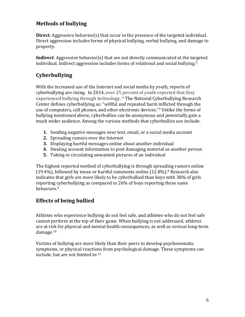#### **Methods of bullying**

**Direct**: Aggressive behavior(s) that occur in the presence of the targeted individual. Direct aggression includes forms of physical bullying, verbal bullying, and damage to property.

**Indirect**: Aggressive behavior(s) that are not directly communicated at the targeted individual. Indirect aggression includes forms of relational and social bullying.<sup>5</sup>

#### **Cyberbullying**

With the increased use of the Internet and social media by youth, reports of cyberbullying are rising. In 2014, over 25 percent of youth reported that they experienced bullying through technology. <sup>6</sup> The National Cyberbullying Research Center defines cyberbullying as: "willful and repeated harm inflicted through the use of computers, cell phones, and other electronic devices."<sup>7</sup> Unlike the forms of bullying mentioned above, cyberbullies can be anonymous and potentially gain a much wider audience. Among the various methods that cyberbullies use include:

- **1.** Sending negative messages over text, email, or a social media account
- **2.** Spreading rumors over the Internet
- **3.** Displaying hurtful messages online about another individual
- **4.** Stealing account information to post damaging material as another person
- **5.** Taking or circulating unwanted pictures of an individual

The highest reported method of cyberbullying is through spreading rumors online (19.4%), followed by mean or hurtful comments online  $(12.8\%)$ .<sup>8</sup> Research also indicates that girls are more likely to be cyberbullied than boys with 38% of girls reporting cyberbullying as compared to 26% of boys reporting these same behaviors.<sup>9</sup>

#### **Effects of being bullied**

Athletes who experience bullying do not feel safe, and athletes who do not feel safe cannot perform at the top of their game. When bullying is not addressed, athletes are at risk for physical and mental health consequences, as well as serious long-term damage.<sup>10</sup>

Victims of bullying are more likely than their peers to develop psychosomatic symptoms, or physical reactions from psychological damage. These symptoms can include, but are not limited to:11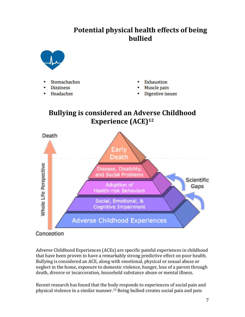### **Potential physical health effects of being bullied**



- **Stomachaches**
- **Dizziness**
- Headaches
- Exhaustion
- Muscle pain
- Digestive issues

### **Bullying is considered an Adverse Childhood Experience (ACE)<sup>12</sup>**



#### Conception

Adverse Childhood Experiences (ACEs) are specific painful experiences in childhood that have been proven to have a remarkably strong predictive effect on poor health. Bullying is considered an ACE, along with emotional, physical or sexual abuse or neglect in the home, exposure to domestic violence, hunger, loss of a parent through death, divorce or incarceration, household substance abuse or mental illness.

Recent research has found that the body responds to experiences of social pain and physical violence in a similar manner.<sup>13</sup> Being bullied creates social pain and puts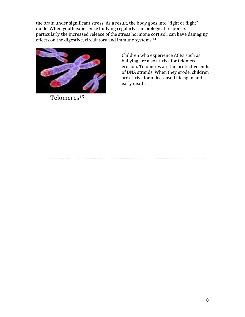the brain under significant stress. As a result, the body goes into "fight or flight" mode. When youth experience bullying regularly, the biological response, particularly the increased release of the stress hormone cortisol, can have damaging effects on the digestive, circulatory and immune systems.<sup>14</sup>



Telomeres<sup>15</sup>

Children who experience ACEs such as bullying are also at-risk for telomere erosion. Telomeres are the protective ends of DNA strands. When they erode, children are at-risk for a decreased life span and early death.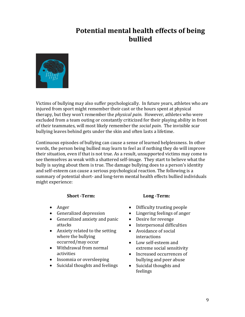### **Potential mental health effects of being bullied**



Victims of bullying may also suffer psychologically. In future years, athletes who are injured from sport might remember their cast or the hours spent at physical therapy, but they won't remember the *physical pain*. However, athletes who were excluded from a team outing or constantly criticized for their playing ability in front of their teammates, will most likely remember the *social pain*. The invisible scar bullying leaves behind gets under the skin and often lasts a lifetime.

Continuous episodes of bullying can cause a sense of learned helplessness. In other words, the person being bullied may learn to feel as if nothing they do will improve their situation, even if that is not true. As a result, unsupported victims may come to see themselves as weak with a shattered self-image. They start to believe what the bully is saying about them is true. The damage bullying does to a person's identity and self-esteem can cause a serious psychological reaction. The following is a summary of potential short- and long-term mental health effects bullied individuals might experience:

#### **Short -Term:**

- Anger
- Generalized depression
- Generalized anxiety and panic attacks
- Anxiety related to the setting where the bullying occurred/may occur
- Withdrawal from normal activities
- Insomnia or oversleeping
- Suicidal thoughts and feelings

#### **Long -Term:**

- Difficulty trusting people
- Lingering feelings of anger
- Desire for revenge
- Interpersonal difficulties
- Avoidance of social interactions
- Low self-esteem and extreme social sensitivity
- Increased occurrences of bullying and peer abuse
- Suicidal thoughts and feelings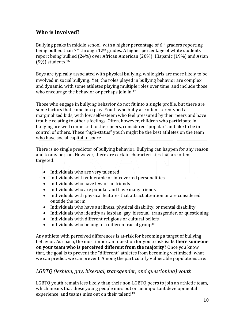#### **Who is involved?**

Bullying peaks in middle school, with a higher percentage of 6<sup>th</sup> graders reporting being bullied than  $7<sup>th</sup>$  through  $12<sup>th</sup>$  grades. A higher percentage of white students report being bullied (24%) over African American (20%), Hispanic (19%) and Asian (9%) students. 16

Boys are typically associated with physical bullying, while girls are more likely to be involved in social bullying**.** Yet, the roles played in bullying behavior are complex and dynamic, with some athletes playing multiple roles over time, and include those who encourage the behavior or perhaps join in.<sup>17</sup>

Those who engage in bullying behavior do not fit into a single profile, but there are some factors that come into play. Youth who bully are often stereotyped as marginalized kids, with low self-esteem who feel pressured by their peers and have trouble relating to other's feelings. Often, however, children who participate in bullying are well connected to their peers, considered "popular" and like to be in control of others. These "high-status" youth might be the best athletes on the team who have social capital to spare.

There is no single predictor of bullying behavior. Bullying can happen for any reason and to any person. However, there are certain characteristics that are often targeted:

- Individuals who are very talented
- Individuals with vulnerable or introverted personalities
- Individuals who have few or no friends
- Individuals who are popular and have many friends
- Individuals with physical features that attract attention or are considered outside the norm
- Individuals who have an illness, physical disability, or mental disability
- Individuals who identify as lesbian, gay, bisexual, transgender, or questioning
- Individuals with different religious or cultural beliefs
- Individuals who belong to a different racial group<sup>18</sup>

Any athlete with perceived differences is at-risk for becoming a target of bullying behavior. As coach, the most important question for you to ask is: **Is there someone on your team who is perceived different from the majority?** Once you know that, the goal is to prevent the "different" athletes from becoming victimized; what we can predict, we can prevent. Among the particularly vulnerable populations are:

#### *LGBTQ (lesbian, gay, bisexual, transgender, and questioning) youth*

LGBTQ youth remain less likely than their non-LGBTQ peers to join an athletic team, which means that these young people miss out on an important developmental experience, and teams miss out on their talent!<sup>19</sup>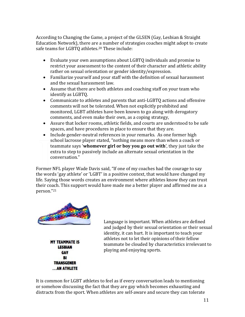According to Changing the Game, a project of the GLSEN (Gay, Lesbian & Straight Education Network), there are a number of strategies coaches might adopt to create safe teams for LGBTQ athletes.<sup>20</sup> These include:

- Evaluate your own assumptions about LGBTQ individuals and promise to restrict your assessment to the content of their character and athletic ability rather on sexual orientation or gender identity/expression.
- Familiarize yourself and your staff with the definition of sexual harassment and the sexual harassment law.
- Assume that there are both athletes and coaching staff on your team who identify as LGBTQ.
- Communicate to athletes and parents that anti-LGBTQ actions and offensive comments will not be tolerated. When not explicitly prohibited and monitored, LGBT athletes have been known to go along with derogatory comments, and even make their own, as a coping strategy,
- Assure that locker rooms, athletic fields, and courts are understood to be safe spaces, and have procedures in place to ensure that they are.
- Include gender-neutral references in your remarks. As one former high school lacrosse player stated, "nothing means more than when a coach or teammate says '**whomever girl or boy you go out with**', they just take the extra to step to passively include an alternate sexual orientation in the conversation."

Former NFL player Wade Davis said, "If one of my coaches had the courage to say the words 'gay athlete' or 'LGBT' in a positive context, that would have changed my life. Saying those words creates an environment where athletes know they can trust their coach. This support would have made me a better player and affirmed me as a person."<sup>21</sup>



**MY TEAMMATE IS LESBIAN GAY BI TRANSGENER** ... AN ATHLETE

Language is important. When athletes are defined and judged by their sexual orientation or their sexual identity, it can hurt. It is important to teach your athletes not to let their opinions of their fellow teammate be clouded by characteristics irrelevant to playing and enjoying sports.

It is common for LGBT athletes to feel as if every conversation leads to mentioning or somehow discussing the fact that they are gay which becomes exhausting and distracts from the sport. When athletes are self-aware and secure they can tolerate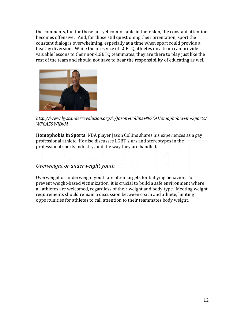the comments, but for those not yet comfortable in their skin, the constant attention becomes offensive. And, for those still questioning their orientation, sport the constant dialog is overwhelming, especially at a time when sport could provide a healthy diversion. While the presence of LGBTQ athletes on a team can provide valuable lessons to their non-LGBTQ teammates, they are there to play just like the rest of the team and should not have to bear the responsibility of educating as well.



*[http://www.bystanderrevolution.org/v/Jason+Collins+%7C+Homophobia+in+Sports/](http://www.bystanderrevolution.org/v/Jason+Collins+%7C+Homophobia+in+Sports/WF6A59WlDvM) [WF6A59WlDvM](http://www.bystanderrevolution.org/v/Jason+Collins+%7C+Homophobia+in+Sports/WF6A59WlDvM)*

**Homophobia in Sports**: NBA player Jason Collins shares his experiences as a gay professional athlete. He also discusses LGBT slurs and stereotypes in the professional sports industry, and the way they are handled.

#### *Overweight or underweight youth*

Overweight or underweight youth are often targets for bullying behavior. To prevent weight-based victimization, it is crucial to build a safe environment where all athletes are welcomed, regardless of their weight and body type. Meeting weight requirements should remain a discussion between coach and athlete, limiting opportunities for athletes to call attention to their teammates body weight.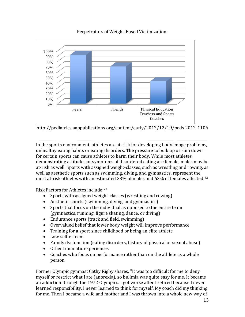

Perpetrators of Weight-Based Victimization:

http://pediatrics.aappublications.org/content/early/2012/12/19/peds.2012-1106

In the sports environment, athletes are at-risk for developing body image problems, unhealthy eating habits or eating disorders. The pressure to bulk up or slim down for certain sports can cause athletes to harm their body. While most athletes demonstrating attitudes or symptoms of disordered eating are female, males may be at-risk as well. Sports with assigned weight-classes, such as wrestling and rowing, as well as aesthetic sports such as swimming, diving, and gymnastics, represent the most at-risk athletes with an estimated 33% of males and 62% of females affected.<sup>22</sup>

Risk Factors for Athletes include:<sup>23</sup>

- Sports with assigned weight-classes (wrestling and rowing)
- Aesthetic sports (swimming, diving, and gymnastics)
- Sports that focus on the individual as opposed to the entire team (gymnastics, running, figure skating, dance, or diving)
- Endurance sports (track and field, swimming)
- Overvalued belief that lower body weight will improve performance
- Training for a sport since childhood or being an elite athlete
- Low self-esteem
- Family dysfunction (eating disorders, history of physical or sexual abuse)
- Other traumatic experiences
- Coaches who focus on performance rather than on the athlete as a whole person

Former Olympic gymnast Cathy Rigby shares, "It was too difficult for me to deny myself or restrict what I ate (anorexia), so bulimia was quite easy for me. It became an addiction through the 1972 Olympics. I got worse after I retired because I never learned responsibility. I never learned to think for myself. My coach did my thinking for me. Then I became a wife and mother and I was thrown into a whole new way of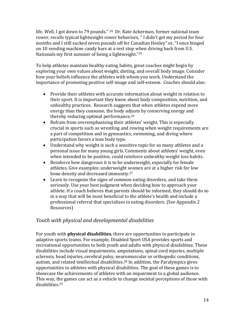life. Well, I got down to 79 pounds." <sup>24</sup> Dr. Kate Ackerman, former national team rower, recalls typical lightweight rower behaviors, " I didn't get my period for four months and I still sucked seven pounds off for Canadian Henley" or, "I once binged on 10 vending machine candy bars at a rest stop when driving back from U.S. Nationals my first summer of being a lightweight."<sup>25</sup>

To help athletes maintain healthy eating habits, great coaches might begin by exploring your own values about weight, dieting, and overall body image. Consider how your beliefs influence the athletes with whom you work. Understand the importance of promoting positive self-image and self-esteem. Coaches should also:

- Provide their athletes with accurate information about weight in relation to their sport. It is important they know about body composition, nutrition, and unhealthy practices. Research suggests that when athletes expend more energy than they consume, the body adjusts by conserving energy and thereby reducing optimal performance.<sup>26</sup>
- Refrain from overemphasizing their athletes' weight. This is especially crucial in sports such as wrestling and rowing when weight requirements are a part of competition and in gymnastics, swimming, and diving where participation favors a lean body type.
- Understand why weight is such a sensitive topic for so many athletes and a personal issue for many young girls. Comments about athletes' weight, even when intended to be positive, could reinforce unhealthy weight loss habits.
- Reinforce how dangerous it is to be underweight, especially for female athletes. Give examples: underweight women are at a higher risk for low bone density and decreased immunity.<sup>27</sup>
- Learn to recognize the signs of common eating disorders, and take them seriously. Use your best judgment when deciding how to approach your athlete. If a coach believes that parents should be informed, they should do so in a way that will be most beneficial to the athlete's health and include a professional referral that specializes in eating disorders. (See Appendix 2 Resources)

#### *Youth with physical and developmental disabilities*

For youth with **physical disabilities**, there are opportunities to participate in adaptive sports teams. For example, Disabled Sport USA provides sports and recreational opportunities to both youth and adults with physical disabilities. These disabilities include visual impairments, amputations, spinal cord injuries, multiple sclerosis, head injuries, cerebral palsy, neuromuscular or orthopedic conditions, autism, and related intellectual disabilities.<sup>28</sup> In addition, the Paralympics gives opportunities to athletes with physical disabilities. The goal of these games is to showcase the achievements of athletes with an impairment to a global audience. This way, the games can act as a vehicle to change societal perceptions of those with disabilities.29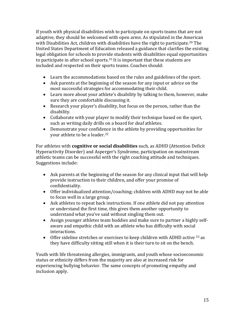If youth with physical disabilities wish to participate on sports teams that are not adaptive, they should be welcomed with open arms. As stipulated in the American with Disabilities Act, children with disabilities have the right to participate.<sup>30</sup> The United States Department of Education released a guidance that clarifies the existing legal obligation for schools to provide students with disabilities equal opportunities to participate in after school sports.<sup>31</sup> It is important that these students are included and respected on their sports teams. Coaches should:

- Learn the accommodations based on the rules and guidelines of the sport.
- Ask parents at the beginning of the season for any input or advice on the most successful strategies for accommodating their child.
- Learn more about your athlete's disability by talking to them, however, make sure they are comfortable discussing it.
- Research your player's disability, but focus on the person, rather than the disability.
- Collaborate with your player to modify their technique based on the sport, such as writing daily drills on a board for deaf athletes.
- Demonstrate your confidence in the athlete by providing opportunities for your athlete to be a leader.<sup>32</sup>

For athletes with **cognitive or social disabilities** such, as ADHD (Attention Deficit Hyperactivity Disorder) and Asperger's Syndrome, participation on mainstream athletic teams can be successful with the right coaching attitude and techniques. Suggestions include:

- Ask parents at the beginning of the season for any clinical input that will help provide instruction to their children, and offer your promise of confidentiality.
- Offer individualized attention/coaching; children with ADHD may not be able to focus well in a large group.
- Ask athletes to repeat back instructions. If one athlete did not pay attention or understand the first time, this gives them another opportunity to understand what you've said without singling them out.
- Assign younger athletes team buddies and make sure to partner a highly selfaware and empathic child with an athlete who has difficulty with social interactions.
- Offer sideline stretches or exercises to keep children with ADHD active  $^{33}$  as they have difficulty sitting still when it is their turn to sit on the bench.

Youth with life threatening allergies, immigrants, and youth whose socioeconomic status or ethnicity differs from the majority are also at increased risk for experiencing bullying behavior. The same concepts of promoting empathy and inclusion apply.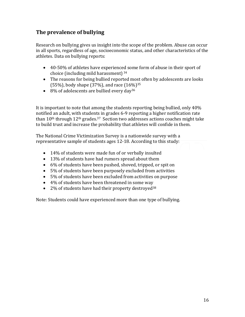#### **The prevalence of bullying**

Research on bullying gives us insight into the scope of the problem. Abuse can occur in all sports, regardless of age, socioeconomic status, and other characteristics of the athletes. Data on bullying reports:

- 40-50% of athletes have experienced some form of abuse in their sport of choice (including mild harassment) <sup>34</sup>
- The reasons for being bullied reported most often by adolescents are looks (55%), body shape (37%), and race (16%)<sup>35</sup>
- $\bullet$  8% of adolescents are bullied every day<sup>36</sup>

It is important to note that among the students reporting being bullied, only 40% notified an adult, with students in grades 6-9 reporting a higher notification rate than  $10<sup>th</sup>$  through  $12<sup>th</sup>$  grades.<sup>37</sup> Section two addresses actions coaches might take to build trust and increase the probability that athletes will confide in them.

The National Crime Victimization Survey is a nationwide survey with a representative sample of students ages 12-18. According to this study:

- 14% of students were made fun of or verbally insulted
- 13% of students have had rumors spread about them
- 6% of students have been pushed, shoved, tripped, or spit on
- 5% of students have been purposely excluded from activities
- 5% of students have been excluded from activities on purpose
- 4% of students have been threatened in some way
- $\bullet$  2% of students have had their property destroyed<sup>38</sup>

Note: Students could have experienced more than one type of bullying.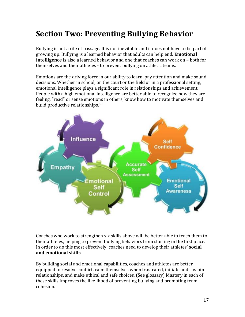### **Section Two: Preventing Bullying Behavior**

Bullying is not a rite of passage. It is not inevitable and it does not have to be part of growing up. Bullying is a learned behavior that adults can help end. **Emotional intelligence** is also a learned behavior and one that coaches can work on – both for themselves and their athletes - to prevent bullying on athletic teams.

Emotions are the driving force in our ability to learn, pay attention and make sound decisions. Whether in school, on the court or the field or in a professional setting, emotional intelligence plays a significant role in relationships and achievement. People with a high emotional intelligence are better able to recognize how they are feeling, "read" or sense emotions in others, know how to motivate themselves and build productive relationships.<sup>39</sup>



Coaches who work to strengthen six skills above will be better able to teach them to their athletes, helping to prevent bullying behaviors from starting in the first place. In order to do this most effectively, coaches need to develop their athletes' **social and emotional skills**.

By building social and emotional capabilities, coaches and athletes are better equipped to resolve conflict, calm themselves when frustrated, initiate and sustain relationships, and make ethical and safe choices. (See glossary) Mastery in each of these skills improves the likelihood of preventing bullying and promoting team cohesion.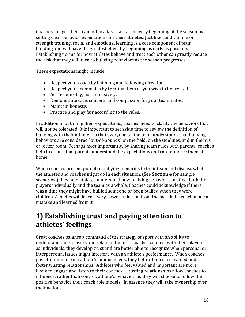Coaches can get their team off to a fast start at the very beginning of the season by setting clear behavior expectations for their athletes. Just like conditioning or strength training, social and emotional learning is a core component of team building and will have the greatest effect by beginning as early as possible. Establishing norms for how athletes behave and treat each other can greatly reduce the risk that they will turn to bullying behaviors as the season progresses.

These expectations might include:

- Respect your coach by listening and following directions.
- Respect your teammates by treating them as you wish to be treated.
- Act responsibly, not impulsively.
- Demonstrate care, concern, and compassion for your teammates.
- Maintain honesty.
- Practice and play fair according to the rules.

In addition to outlining their expectations, coaches need to clarify the behaviors that will not be tolerated. It is important to set aside time to review the definition of bullying with their athletes so that everyone on the team understands that bullying behaviors are considered "out-of-bounds" on the field, on the sidelines, and in the bus or locker room. Perhaps most importantly, by sharing team rules with parents, coaches help to assure that parents understand the expectations and can reinforce them at home.

When coaches present potential bullying scenarios to their team and discuss what the athletes and coaches might do in each situation, (See **Section 4** for sample scenarios.) they help athletes understand how bullying behavior can affect both the players individually and the team as a whole. Coaches could acknowledge if there was a time they might have bullied someone or been bullied when they were children. Athletes will learn a very powerful lesson from the fact that a coach made a mistake and learned from it.

### **1) Establishing trust and paying attention to athletes' feelings**

Great coaches balance a command of the strategy of sport with an ability to understand their players and relate to them. If coaches connect with their players as individuals, they develop trust and are better able to recognize when personal or interpersonal issues might interfere with an athlete's performance. When coaches pay attention to each athlete's unique needs, they help athletes feel valued and foster trusting relationships. Athletes who feel valued and important are more likely to engage and listen to their coaches. Trusting relationships allow coaches to influence, rather than control, athlete's behavior, as they will choose to follow the positive behavior their coach role models. In essence they will take ownership over their actions.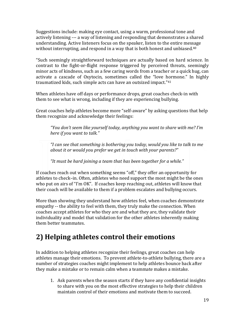Suggestions include: making eye contact, using a warm, professional tone and actively listening --- a way of listening and responding that demonstrates a shared understanding. Active listeners focus on the speaker, listen to the entire message without interrupting, and respond in a way that is both honest and unbiased.<sup>40</sup>

"Such seemingly straightforward techniques are actually based on hard science. In contrast to the fight-or-flight response triggered by perceived threats, seemingly minor acts of kindness, such as a few caring words from a teacher or a quick hug, can activate a cascade of Oxytocin, sometimes called the "love hormone." In highly traumatized kids, such simple acts can have an outsized impact."<sup>41</sup>

When athletes have off days or performance drops, great coaches check-in with them to see what is wrong, including if they are experiencing bullying.

Great coaches help athletes become more "self-aware" by asking questions that help them recognize and acknowledge their feelings:

*"You don't seem like yourself today, anything you want to share with me? I'm here if you want to talk."*

*"I can see that something is bothering you today, would you like to talk to me about it or would you prefer we get in touch with your parents?"*

*"It must be hard joining a team that has been together for a while."*

If coaches reach out when something seems "off," they offer an opportunity for athletes to check–in. Often, athletes who need support the most might be the ones who put on airs of "I'm OK". If coaches keep reaching out, athletes will know that their coach will be available to them if a problem escalates and bullying occurs.

More than showing they understand how athletes feel, when coaches demonstrate empathy -- the ability to feel with them, they truly make the connection. When coaches accept athletes for who they are and what they are, they validate their individuality and model that validation for the other athletes inherently making them better teammates.

### **2) Helping athletes control their emotions**

In addition to helping athletes recognize their feelings, great coaches can help athletes manage their emotions. To prevent athlete-to-athlete bullying, there are a number of strategies coaches might implement to help athletes bounce back after they make a mistake or to remain calm when a teammate makes a mistake.

1. Ask parents when the season starts if they have any confidential insights to share with you on the most effective strategies to help their children maintain control of their emotions and motivate them to succeed.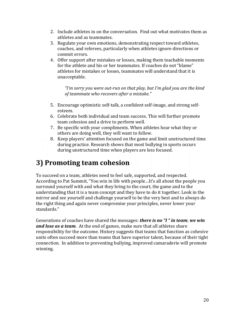- 2. Include athletes in on the conversation. Find out what motivates them as athletes and as teammates.
- 3. Regulate your own emotions, demonstrating respect toward athletes, coaches, and referees, particularly when athletes ignore directions or commit errors.
- 4. Offer support after mistakes or losses, making them teachable moments for the athlete and his or her teammates. If coaches do not "blame" athletes for mistakes or losses, teammates will understand that it is unacceptable.

*"I'm sorry you were out-run on that play, but I'm glad you are the kind of teammate who recovers after a mistake."* 

- 5. Encourage optimistic self-talk, a confident self-image, and strong selfesteem.
- 6. Celebrate both individual and team success. This will further promote team cohesion and a drive to perform well.
- 7. Be specific with your compliments. When athletes hear what they or others are doing well, they will want to follow.
- 8. Keep players' attention focused on the game and limit unstructured time during practice. Research shows that most bullying in sports occurs during unstructured time when players are less focused.

### **3) Promoting team cohesion**

To succeed on a team, athletes need to feel safe, supported, and respected. According to Pat Summit, "You win in life with people…It's all about the people you surround yourself with and what they bring to the court, the game and to the understanding that it is a team concept and they have to do it together. Look in the mirror and see yourself and challenge yourself to be the very best and to always do the right thing and again never compromise your principles, never lower your standards."

Generations of coaches have shared the messages: *there is no "I " in team*; *we win and lose as a team*. At the end of games, make sure that all athletes share responsibility for the outcome. History suggests that teams that function as cohesive units often succeed more than teams that have superior talent, because of their tight connection. In addition to preventing bullying, improved camaraderie will promote winning.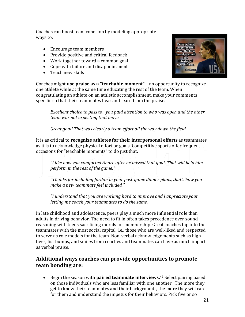Coaches can boost team cohesion by modeling appropriate ways to:

- Encourage team members
- Provide positive and critical feedback
- Work together toward a common goal
- Cope with failure and disappointment
- Teach new skills



Coaches might **use praise as a "teachable moment**" – an opportunity to recognize one athlete while at the same time educating the rest of the team. When congratulating an athlete on an athletic accomplishment, make your comments specific so that their teammates hear and learn from the praise.

*Excellent choice to pass to…you paid attention to who was open and the other team was not expecting that move.*

*Great goal! That was clearly a team effort all the way down the field.*

It is as critical to **recognize athletes for their interpersonal efforts** as teammates as it is to acknowledge physical effort or goals. Competitive sports offer frequent occasions for "teachable moments" to do just that:

*"I like how you comforted Andre after he missed that goal. That will help him perform in the rest of the game."*

*"Thanks for including Jordan in your post-game dinner plans, that's how you make a new teammate feel included."*

*"I understand that you are working hard to improve and I appreciate your letting me coach your teammates to do the same.*

In late childhood and adolescence, peers play a much more influential role than adults in driving behavior. The need to fit in often takes precedence over sound reasoning with teens sacrificing morals for membership. Great coaches tap into the teammates with the most social capital, i.e., those who are well-liked and respected, to serve as role models for the team. Non-verbal acknowledgements such as highfives, fist bumps, and smiles from coaches and teammates can have as much impact as verbal praise.

#### **Additional ways coaches can provide opportunities to promote team bonding are:**

• Begin the season with **paired teammate interviews.**<sup>42</sup> Select pairing based on those individuals who are less familiar with one another. The more they get to know their teammates and their backgrounds, the more they will care for them and understand the impetus for their behaviors. Pick five or so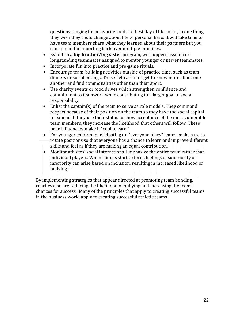questions ranging form favorite foods, to best day of life so far, to one thing they wish they could change about life to personal hero. It will take time to have team members share what they learned about their partners but you can spread the reporting back over multiple practices.

- Establish a **big brother/big sister** program, with upperclassmen or longstanding teammates assigned to mentor younger or newer teammates.
- Incorporate fun into practice and pre-game rituals.
- Encourage team-building activities outside of practice time, such as team dinners or social outings. These help athletes get to know more about one another and find commonalities other than their sport.
- Use charity events or food drives which strengthen confidence and commitment to teamwork while contributing to a larger goal of social responsibility.
- Enlist the captain(s) of the team to serve as role models. They command respect because of their position on the team so they have the social capital to expend. If they use their status to show acceptance of the most vulnerable team members, they increase the likelihood that others will follow. These peer influencers make it "cool to care."
- For younger children participating on "everyone plays" teams, make sure to rotate positions so that everyone has a chance to learn and improve different skills and feel as if they are making an equal contribution.
- Monitor athletes' social interactions. Emphasize the entire team rather than individual players. When cliques start to form, feelings of superiority or inferiority can arise based on inclusion, resulting in increased likelihood of bullying.<sup>43</sup>

By implementing strategies that appear directed at promoting team bonding, coaches also are reducing the likelihood of bullying and increasing the team's chances for success. Many of the principles that apply to creating successful teams in the business world apply to creating successful athletic teams.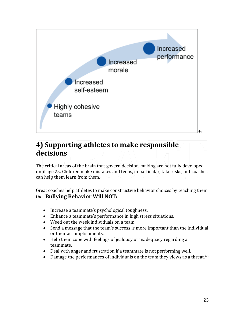

### **4) Supporting athletes to make responsible decisions**

The critical areas of the brain that govern decision-making are not fully developed until age 25. Children make mistakes and teens, in particular, take risks, but coaches can help them learn from them.

Great coaches help athletes to make constructive behavior choices by teaching them that **Bullying Behavior Will NOT:**

- Increase a teammate's psychological toughness.
- Enhance a teammate's performance in high stress situations.
- Weed out the week individuals on a team.
- Send a message that the team's success is more important than the individual or their accomplishments.
- Help them cope with feelings of jealousy or inadequacy regarding a teammate.
- Deal with anger and frustration if a teammate is not performing well.
- Damage the performances of individuals on the team they views as a threat.<sup>45</sup>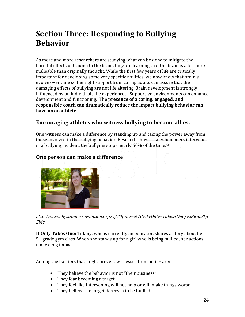## **Section Three: Responding to Bullying Behavior**

As more and more researchers are studying what can be done to mitigate the harmful effects of trauma to the brain, they are learning that the brain is a lot more malleable than originally thought. While the first few years of life are critically important for developing some very specific abilities, we now know that brain's evolve over time so the right support from caring adults can assure that the damaging effects of bullying are not life altering. Brain development is strongly influenced by an individuals life experiences. Supportive environments can enhance development and functioning. The **presence of a caring, engaged, and responsible coach can dramatically reduce the impact bullying behavior can have on an athlete**.

#### **Encouraging athletes who witness bullying to become allies.**

One witness can make a difference by standing up and taking the power away from those involved in the bullying behavior. Research shows that when peers intervene in a bullying incident, the bullying stops nearly 60% of the time.<sup>46</sup>

#### **One person can make a difference**



*[http://www.bystanderrevolution.org/v/Tiffany+%7C+It+Only+Takes+One/vzERmuTg](http://www.bystanderrevolution.org/v/Tiffany+%7C+It+Only+Takes+One/vzERmuTgEMc) [EMc](http://www.bystanderrevolution.org/v/Tiffany+%7C+It+Only+Takes+One/vzERmuTgEMc)*

**It Only Takes One:** Tiffany, who is currently an educator, shares a story about her 5th grade gym class. When she stands up for a girl who is being bullied, her actions make a big impact.

Among the barriers that might prevent witnesses from acting are:

- They believe the behavior is not "their business"
- They fear becoming a target
- They feel like intervening will not help or will make things worse
- They believe the target deserves to be bullied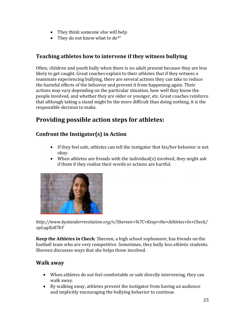- They think someone else will help
- They do not know what to  $do^{47}$

#### **Teaching athletes how to intervene if they witness bullying**

Often, children and youth bully when there is no adult present because they are less likely to get caught. Great coaches explain to their athletes that if they witness a teammate experiencing bullying, there are several actions they can take to reduce the harmful effects of the behavior and prevent it from happening again. Their actions may vary depending on the particular situation, how well they know the people involved, and whether they are older or younger, etc. Great coaches reinforce that although taking a stand might be the more difficult than doing nothing, it is the responsible decision to make.

### **Providing possible action steps for athletes:**

#### **Confront the Instigator(s) in Action**

- If they feel safe, athletes can tell the instigator that his/her behavior is not okay.
- When athletes are friends with the individual(s) involved, they might ask if them if they realize their words or actions are hurtful.



*http://www.bystanderrevolution.org/v/Shereen+%7C+Keep+the+Athletes+In+Check/ opLugXo87bY*

**Keep the Athletes in Check**: Shereen, a high school sophomore, has friends on the football team who are very competitive. Sometimes, they bully less athletic students. Shereen discusses ways that she helps those involved.

#### **Walk away**

- When athletes do not feel comfortable or safe directly intervening, they can walk away.
- By walking away, athletes prevent the instigator from having an audience and implicitly encouraging the bullying behavior to continue.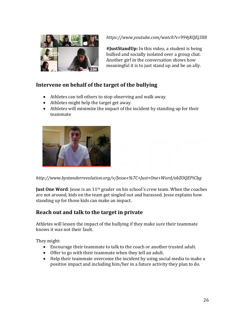

*https://www.youtube.com/watch?v=994jKQEj3X8*

**#JustStandUp:** In this video, a student is being bullied and socially isolated over a group chat. Another girl in the conversation shows how meaningful it is to just stand up and be an ally.

#### **Intervene on behalf of the target of the bullying**

- Athletes can tell others to stop observing and walk away.
- Athletes might help the target get away.
- Athletes will minimize the impact of the incident by standing up for their teammate



*<http://www.bystanderrevolution.org/v/Jesse+%7C+Just+One+Word/ebZOQEPiCbg>*

**Just One Word**: Jesse is an 11<sup>th</sup> grader on his school's crew team. When the coaches are not around, kids on the team get singled out and harassed. Jesse explains how standing up for those kids can make an impact.

#### **Reach out and talk to the target in private**

Athletes will lessen the impact of the bullying if they make sure their teammate knows it was not their fault.

They might:

- Encourage their teammate to talk to the coach or another trusted adult.
- Offer to go with their teammate when they tell an adult.
- Help their teammate overcome the incident by using social media to make a positive impact and including him/her in a future activity they plan to do.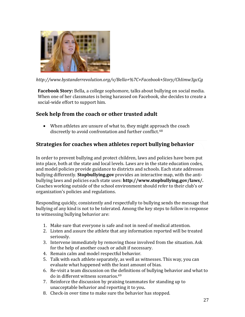

*<http://www.bystanderrevolution.org/v/Bella+%7C+Facebook+Story/ChIimw3gcCg>*

**Facebook Story:** Bella, a college sophomore, talks about bullying on social media. When one of her classmates is being harassed on Facebook, she decides to create a social-wide effort to support him.

#### **Seek help from the coach or other trusted adult**

• When athletes are unsure of what to, they might approach the coach discreetly to avoid confrontation and further conflict.<sup>48</sup>

#### **Strategies for coaches when athletes report bullying behavior**

In order to prevent bullying and protect children, laws and policies have been put into place, both at the state and local levels. Laws are in the state education codes, and model policies provide guidance to districts and schools. Each state addresses bullying differently. **Stopbullying.gov** provides an interactive map, with the antibullying laws and policies each state uses: **http://www.stopbullying.gov/laws/.** Coaches working outside of the school environment should refer to their club's or organization's policies and regulations.

Responding quickly, consistently and respectfully to bullying sends the message that bullying of any kind is not to be tolerated. Among the key steps to follow in response to witnessing bullying behavior are:

- 1. Make sure that everyone is safe and not in need of medical attention.
- 2. Listen and assure the athlete that any information reported will be treated seriously.
- 3. Intervene immediately by removing those involved from the situation. Ask for the help of another coach or adult if necessary.
- 4. Remain calm and model respectful behavior.
- 5. Talk with each athlete separately, as well as witnesses. This way, you can evaluate what happened with the least amount of bias.
- 6. Re-visit a team discussion on the definitions of bullying behavior and what to do in different witness scenarios. 49
- 7. Reinforce the discussion by praising teammates for standing up to unacceptable behavior and reporting it to you**.**
- 8. Check-in over time to make sure the behavior has stopped.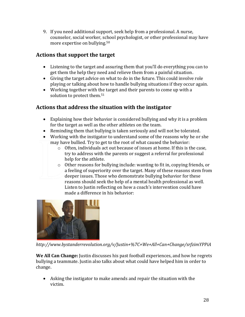9. If you need additional support, seek help from a professional. A nurse, counselor, social worker, school psychologist, or other professional may have more expertise on bullying.<sup>50</sup>

#### **Actions that support the target**

- Listening to the target and assuring them that you'll do everything you can to get them the help they need and relieve them from a painful situation.
- Giving the target advice on what to do in the future. This could involve role playing or talking about how to handle bullying situations if they occur again.
- Working together with the target and their parents to come up with a solution to protect them.<sup>51</sup>

#### **Actions that address the situation with the instigator**

- Explaining how their behavior is considered bullying and why it is a problem for the target as well as the other athletes on the team.
- Reminding them that bullying is taken seriously and will not be tolerated.
- Working with the instigator to understand some of the reasons why he or she may have bullied. Try to get to the root of what caused the behavior:
	- $\circ$  Often, individuals act out because of issues at home. If this is the case, try to address with the parents or suggest a referral for professional help for the athlete.
	- $\circ$  Other reasons for bullying include: wanting to fit in, copying friends, or a feeling of superiority over the target. Many of these reasons stem from deeper issues. Those who demonstrate bullying behavior for these reasons should seek the help of a mental health professional as well. Listen to Justin reflecting on how a coach's intervention could have made a difference in his behavior:



*http://www.bystanderrevolution.org/v/Justin+%7C+We+All+Can+Change/srfzimYPPiA*

**We All Can Change:** Justin discusses his past football experiences, and how he regrets bullying a teammate. Justin also talks about what could have helped him in order to change.

• Asking the instigator to make amends and repair the situation with the victim.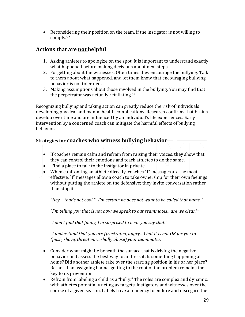• Reconsidering their position on the team, if the instigator is not willing to comply.<sup>52</sup>

#### **Actions that are not helpful**

- 1. Asking athletes to apologize on the spot. It is important to understand exactly what happened before making decisions about next steps.
- 2. Forgetting about the witnesses. Often times they encourage the bullying. Talk to them about what happened, and let them know that encouraging bullying behavior is not tolerated.
- 3. Making assumptions about those involved in the bullying. You may find that the perpetrator was actually retaliating.<sup>53</sup>

Recognizing bullying and taking action can greatly reduce the risk of individuals developing physical and mental health complications. Research confirms that brains develop over time and are influenced by an individual's life experiences. Early intervention by a concerned coach can mitigate the harmful effects of bullying behavior.

#### **Strategies for coaches who witness bullying behavior**

- If coaches remain calm and refrain from raising their voices, they show that they can control their emotions and teach athletes to do the same.
- Find a place to talk to the instigator in private.
- When confronting an athlete directly, coaches "I" messages are the most effective. "I" messages allow a coach to take ownership for their own feelings without putting the athlete on the defensive; they invite conversation rather than stop it.

*"Hey – that's not cool." "I'm certain he does not want to be called that name."* 

*"I'm telling you that is not how we speak to our teammates…are we clear?"*

*"I don't find that funny, I'm surprised to hear you say that."*

*"I understand that you are (frustrated, angry…) but it is not OK for you to (push, shove, threaten, verbally abuse) your teammates.*

- Consider what might be beneath the surface that is driving the negative behavior and assess the best way to address it. Is something happening at home? Did another athlete take over the starting position in his or her place? Rather than assigning blame, getting to the root of the problem remains the key to its prevention.
- Refrain from labeling a child as a "bully." The roles are complex and dynamic, with athletes potentially acting as targets, instigators and witnesses over the course of a given season. Labels have a tendency to endure and disregard the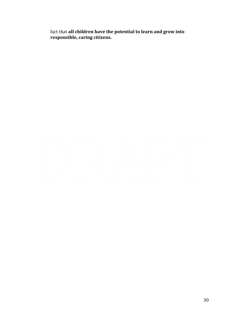fact that **all children have the potential to learn and grow into responsible, caring citizens.**

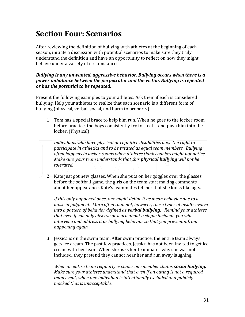### **Section Four: Scenarios**

After reviewing the definition of bullying with athletes at the beginning of each season, initiate a discussion with potential scenarios to make sure they truly understand the definition and have an opportunity to reflect on how they might behave under a variety of circumstances.

#### *Bullying is any unwanted, aggressive behavior. Bullying occurs when there is a power imbalance between the perpetrator and the victim. Bullying is repeated or has the potential to be repeated.*

Present the following examples to your athletes. Ask them if each is considered bullying. Help your athletes to realize that each scenario is a different form of bullying (physical, verbal, social, and harm to property).

1. Tom has a special brace to help him run. When he goes to the locker room before practice, the boys consistently try to steal it and push him into the locker. (Physical)

*Individuals who have physical or cognitive disabilities have the right to participate in athletics and to be treated as equal team members. Bullying often happens in locker rooms when athletes think coaches might not notice. Make sure your team understands that this physical bullying will not be tolerated.*

2. Kate just got new glasses. When she puts on her goggles over the glasses before the softball game, the girls on the team start making comments about her appearance. Kate's teammates tell her that she looks like ugly.

*If this only happened once, one might define it as mean behavior due to a lapse in judgment. More often than not, however, these types of insults evolve into a pattern of behavior defined as verbal bullying. Remind your athletes that even if you only observe or learn about a single incident, you will intervene and address it as bullying behavior so that you prevent it from happening again.*

3. Jessica is on the swim team. After swim practice, the entire team always gets ice cream. The past few practices, Jessica has not been invited to get ice cream with her team. When she asks her teammates why she was not included, they pretend they cannot hear her and run away laughing.

*When an entire team regularly excludes one member that is social bullying. Make sure your athletes understand that even if an outing is not a required team event, when one individual is intentionally excluded and publicly mocked that is unacceptable.*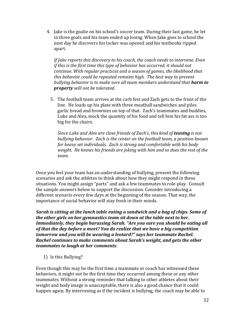4. Jake is the goalie on his school's soccer team. During their last game, he let in three goals and his team ended up losing. When Jake goes to school the next day he discovers his locker was opened and his textbooks ripped apart.

*If Jake reports this discovery to his coach, the coach needs to intervene. Even if this is the first time this type of behavior has occurred, it should not continue. With regular practices and a season of games, the likelihood that this behavior could be repeated remains high. The best way to prevent bullying behavior is to make sure all team members understand that harm to property will not be tolerated.* 

5. The football team arrives at the carb fest and Zach gets to the front of the line. He loads up his plate with three meatball sandwiches and piles garlic bread and brownies on top of that. Zach's teammates and buddies, Luke and Alex, mock the quantity of his food and tell him his fat ass is too big for the chairs.

*Since Luke and Alex are close friends of Zach's, this kind of teasing is not bullying behavior. Zach is the center on the football team, a position known for heavy set individuals. Zach is strong and comfortable with his body weight. He knows his friends are joking with him and so does the rest of the team.* 

Once you feel your team has an understanding of bullying, present the following scenarios and ask the athletes to think about how they might respond in these situations. You might assign "parts" and ask a few teammates to role-play. Consult the sample answers below to support the discussion. Consider introducing a different scenario every few days at the beginning of the season. That way, the importance of social behavior will stay fresh in their minds.

*Sarah is sitting at the lunch table eating a sandwich and a bag of chips. Some of the other girls on her gymnastics team sit down at the table next to her. Immediately, they begin harassing Sarah. "Are you sure you should be eating all of that the day before a meet? You do realize that we have a big competition tomorrow and you will be wearing a leotard?" says her teammate Rachel. Rachel continues to make comments about Sarah's weight, and gets the other teammates to laugh at her comments.* 

1) Is this Bullying?

Even though this may be the first time a teammate or coach has witnessed these behaviors, it might not be the first time they occurred among these or any other teammates. Without a strong reminder that talking to other athletes about their weight and body image is unacceptable, there is also a good chance that it could happen again. By intervening as if the incident is bullying, the coach may be able to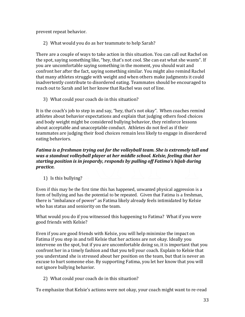prevent repeat behavior.

2) What would you do as her teammate to help Sarah?

There are a couple of ways to take action in this situation. You can call out Rachel on the spot, saying something like, "hey, that's not cool. She can eat what she wants". If you are uncomfortable saying something in the moment, you should wait and confront her after the fact, saying something similar. You might also remind Rachel that many athletes struggle with weight and when others make judgments it could inadvertently contribute to disordered eating. Teammates should be encouraged to reach out to Sarah and let her know that Rachel was out of line.

3) What could your coach do in this situation?

It is the coach's job to step in and say, "hey, that's not okay". When coaches remind athletes about behavior expectations and explain that judging others food choices and body weight might be considered bullying behavior, they reinforce lessons about acceptable and unacceptable conduct. Athletes do not feel as if their teammates are judging their food choices remain less likely to engage in disordered eating behaviors.

#### *Fatima is a freshman trying out for the volleyball team. She is extremely tall and was a standout volleyball player at her middle school. Kelsie, feeling that her starting position is in jeopardy, responds by pulling off Fatima's hijab during practice.*

1) Is this bullying?

Even if this may be the first time this has happened, unwanted physical aggression is a form of bullying and has the potential to be repeated. Given that Fatima is a freshman, there is "imbalance of power" as Fatima likely already feels intimidated by Kelsie who has status and seniority on the team.

What would you do if you witnessed this happening to Fatima? What if you were good friends with Kelsie?

Even if you are good friends with Kelsie, you will help minimize the impact on Fatima if you step in and tell Kelsie that her actions are not okay. Ideally you intervene on the spot, but if you are uncomfortable doing so, it is important that you confront her in a timely fashion and that you tell your coach. Explain to Kelsie that you understand she is stressed about her position on the team, but that is never an excuse to hurt someone else. By supporting Fatima, you let her know that you will not ignore bullying behavior.

2) What could your coach do in this situation?

To emphasize that Kelsie's actions were not okay, your coach might want to re-read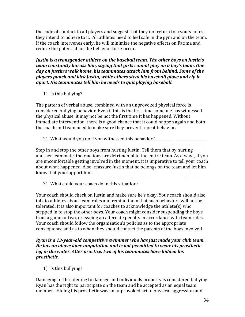the code of conduct to all players and suggest that they not return to tryouts unless they intend to adhere to it. All athletes need to feel safe in the gym and on the team. If the coach intervenes early, he will minimize the negative effects on Fatima and reduce the potential for the behavior to re-occur.

*Justin is a transgender athlete on the baseball team. The other boys on Justin's team constantly harass him, saying that girls cannot play on a boy's team. One day on Justin's walk home, his teammates attack him from behind. Some of the players punch and kick Justin, while others steal his baseball glove and rip it apart. His teammates tell him he needs to quit playing baseball.*

1) Is this bullying?

The pattern of verbal abuse, combined with an unprovoked physical force is considered bullying behavior. Even if this is the first time someone has witnessed the physical abuse, it may not be not the first time it has happened. Without immediate intervention, there is a good chance that it could happen again and both the coach and team need to make sure they prevent repeat behavior.

2) What would you do if you witnessed this behavior?

Step in and stop the other boys from hurting Justin. Tell them that by hurting another teammate, their actions are detrimental to the entire team. As always, if you are uncomfortable getting involved in the moment, it is imperative to tell your coach about what happened. Also, reassure Justin that he belongs on the team and let him know that you support him.

3) What could your coach do in this situation?

Your coach should check on Justin and make sure he's okay. Your coach should also talk to athletes about team rules and remind them that such behaviors will not be tolerated. It is also important for coaches to acknowledge the athlete(s) who stepped in to stop the other boys. Your coach might consider suspending the boys from a game or two, or issuing an alternate penalty in accordance with team rules. Your coach should follow the organization's policies as to the appropriate consequence and as to when they should contact the parents of the boys involved.

#### *Ryan is a 13-year-old competitive swimmer who has just made your club team. He has an above knee amputation and is not permitted to wear his prosthetic leg in the water. After practice, two of his teammates have hidden his prosthetic.*

1) Is this bullying?

Damaging or threatening to damage and individuals property is considered bullying. Ryan has the right to participate on the team and be accepted as an equal team member. Hiding his prosthetic was an unprovoked act of physical aggression and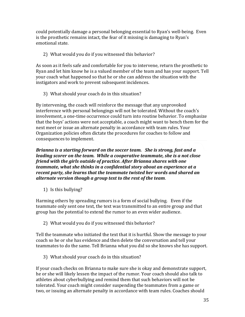could potentially damage a personal belonging essential to Ryan's well-being. Even is the prosthetic remains intact, the fear of it missing is damaging to Ryan's emotional state.

#### 2) What would you do if you witnessed this behavior?

As soon as it feels safe and comfortable for you to intervene, return the prosthetic to Ryan and let him know he is a valued member of the team and has your support. Tell your coach what happened so that he or she can address the situation with the instigators and work to prevent subsequent incidences.

3) What should your coach do in this situation?

By intervening, the coach will reinforce the message that any unprovoked interference with personal belongings will not be tolerated. Without the coach's involvement, a one-time occurrence could turn into routine behavior. To emphasize that the boys' actions were not acceptable, a coach might want to bench them for the next meet or issue an alternate penalty in accordance with team rules. Your Organization policies often dictate the procedures for coaches to follow and consequences to implement.

*Brianna is a starting forward on the soccer team. She is strong, fast and a leading scorer on the team. While a cooperative teammate, she is a not close friend with the girls outside of practice. After Brianna shares with one teammate, what she thinks in a confidential story about an experience at a recent party, she learns that the teammate twisted her words and shared an alternate version though a group text to the rest of the team*.

1) Is this bullying?

Harming others by spreading rumors is a form of social bullying. Even if the teammate only sent one text, the text was transmitted to an entire group and that group has the potential to extend the rumor to an even wider audience.

2) What would you do if you witnessed this behavior?

Tell the teammate who initiated the text that it is hurtful. Show the message to your coach so he or she has evidence and then delete the conversation and tell your teammates to do the same. Tell Brianna what you did so she knows she has support.

3) What should your coach do in this situation?

If your coach checks on Brianna to make sure she is okay and demonstrate support, he or she will likely lessen the impact of the rumor. Your coach should also talk to athletes about cyberbullying and remind them that such behaviors will not be tolerated. Your coach might consider suspending the teammates from a game or two, or issuing an alternate penalty in accordance with team rules. Coaches should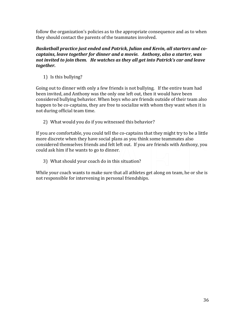follow the organization's policies as to the appropriate consequence and as to when they should contact the parents of the teammates involved.

#### *Basketball practice just ended and Patrick, Julian and Kevin, all starters and cocaptains, leave together for dinner and a movie. Anthony, also a starter, was not invited to join them. He watches as they all get into Patrick's car and leave together.*

1) Is this bullying?

Going out to dinner with only a few friends is not bullying. If the entire team had been invited, and Anthony was the only one left out, then it would have been considered bullying behavior. When boys who are friends outside of their team also happen to be co-captains, they are free to socialize with whom they want when it is not during official team time.

2) What would you do if you witnessed this behavior?

If you are comfortable, you could tell the co-captains that they might try to be a little more discrete when they have social plans as you think some teammates also considered themselves friends and felt left out. If you are friends with Anthony, you could ask him if he wants to go to dinner.

3) What should your coach do in this situation?

While your coach wants to make sure that all athletes get along on team, he or she is not responsible for intervening in personal friendships.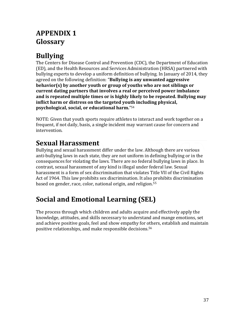### **APPENDIX 1 Glossary**

### **Bullying**

The Centers for Disease Control and Prevention (CDC), the Department of Education (ED), and the Health Resources and Services Administration (HRSA) partnered with bullying experts to develop a uniform definition of bullying. In January of 2014, they agreed on the following definition: "**Bullying is any unwanted aggressive behavior(s) by another youth or group of youths who are not siblings or current dating partners that involves a real or perceived power imbalance and is repeated multiple times or is highly likely to be repeated. Bullying may inflict harm or distress on the targeted youth including physical, psychological, social, or educational harm.**" <sup>54</sup>

NOTE: Given that youth sports require athletes to interact and work together on a frequent, if not daily, basis, a single incident may warrant cause for concern and intervention.

### **Sexual Harassment**

Bullying and sexual harassment differ under the law. Although there are various anti-bullying laws in each state, they are not uniform in defining bullying or in the consequences for violating the laws. There are no federal bullying laws in place. In contrast, sexual harassment of any kind is illegal under federal law. Sexual harassment is a form of sex discrimination that violates Title VII of the Civil Rights Act of 1964. This law prohibits sex discrimination. It also prohibits discrimination based on gender, race, color, national origin, and religion.<sup>55</sup>

### **Social and Emotional Learning (SEL)**

The process through which children and adults acquire and effectively apply the knowledge, attitudes, and skills necessary to understand and mange emotions, set and achieve positive goals, feel and show empathy for others, establish and maintain positive relationships, and make responsible decisions. 56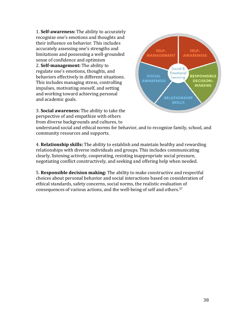1. **Self-awareness:** The ability to accurately recognize one's emotions and thoughts and their influence on behavior. This includes accurately assessing one's strengths and limitations and possessing a well-grounded sense of confidence and optimism 2. **Self-management:** The ability to regulate one's emotions, thoughts, and behaviors effectively in different situations. This includes managing stress, controlling impulses, motivating oneself, and setting and working toward achieving personal and academic goals.



3. **Social awareness:** The ability to take the perspective of and empathize with others from diverse backgrounds and cultures, to

understand social and ethical norms for behavior, and to recognize family, school, and community resources and supports.

4. **Relationship skills:** The ability to establish and maintain healthy and rewarding relationships with diverse individuals and groups. This includes communicating clearly, listening actively, cooperating, resisting inappropriate social pressure, negotiating conflict constructively, and seeking and offering help when needed.

5. **Responsible decision making:** The ability to make constructive and respectful choices about personal behavior and social interactions based on consideration of ethical standards, safety concerns, social norms, the realistic evaluation of consequences of various actions, and the well-being of self and others.57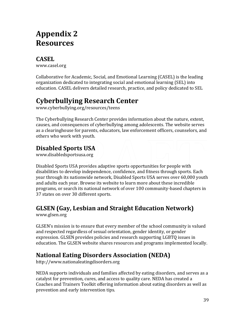### **Appendix 2 Resources**

### **CASEL**

[www.casel.org](http://www.casel.org/)

Collaborative for Academic, Social, and Emotional Learning (CASEL) is the leading organization dedicated to integrating social and emotional learning (SEL) into education. CASEL delivers detailed research, practice, and policy dedicated to SEL

### **Cyberbullying Research Center**

www.cyberbullying.org/resources/teens

The Cyberbullying Research Center provides information about the nature, extent, causes, and consequences of cyberbullying among adolescents. The website serves as a clearinghouse for parents, educators, law enforcement officers, counselors, and others who work with youth.

### **Disabled Sports USA**

[www.disabledsportsusa.org](http://www.disabledsportsusa.org/)

Disabled Sports USA provides adaptive sports opportunities for people with disabilities to develop independence, confidence, and fitness through sports. Each year through its nationwide network, Disabled Sports USA serves over 60,000 youth and adults each year. Browse its website to learn more about these incredible programs, or search its national network of over 100 community-based chapters in 37 states on over 30 different sports.

### **GLSEN (Gay, Lesbian and Straight Education Network)**

[www.glsen.org](http://www.glsen.org/)

GLSEN's mission is to ensure that every member of the school community is valued and respected regardless of sexual orientation, gender identity, or gender expression. GLSEN provides policies and research supporting LGBTQ issues in education. The GLSEN website shares resources and programs implemented locally.

### **National Eating Disorders Association (NEDA)**

[http://www.nationaleatingdisorders.org](http://www.nationaleatingdisorders.org/)

NEDA supports individuals and families affected by eating disorders, and serves as a catalyst for prevention, cures, and access to quality care. NEDA has created a Coaches and Trainers Toolkit offering information about eating disorders as well as prevention and early intervention tips.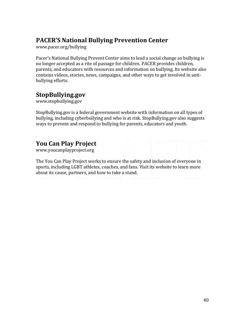#### **PACER'S National Bullying Prevention Center**

[www.pacer.org/bullying](http://www.pacer.org/bullying)

Pacer's National Bullying Prevent Center aims to lead a social change so bullying is no longer accepted as a rite of passage for children. PACER provides children, parents, and educators with resources and information on bullying. Its website also contains videos, stories, news, campaigns, and other ways to get involved in antibullying efforts.

#### **StopBullying.gov**

[www.stopbullying.gov](http://www.stopbullying.gov/)

StopBullying.gov is a federal government website with information on all types of bullying, including cyberbullying and who is at risk. StopBullying.gov also suggests ways to prevent and respond to bullying for parents, educators and youth.

### **You Can Play Project**

www.youcanplayproject.org

The You Can Play Project works to ensure the safety and inclusion of everyone in sports, including LGBT athletes, coaches, and fans. Visit its website to learn more about its cause, partners, and how to take a stand.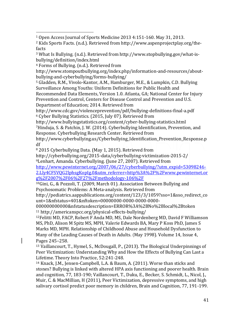<sup>4</sup> Forms of Bullying. (n.d.). Retrieved from

 $\overline{a}$ 

http://www.stompoutbullying.org/index.php/information-and-resources/aboutbullying-and-cyberbullying/forms-bullying/

<sup>5</sup> Gladden, R.M., Vivolo-Kantor, A.M., Hamburger, M.E., & Lumpkin, C.D. Bullying Surveillance Among Youths: Uniform Definitions for Public Health and Recommended Data Elements, Version 1.0. Atlanta, GA; National Center for Injury

Prevention and Control, Centers for Disease Control and Prevention and U.S. Department of Education; 2014. Retrieved from

http://www.cdc.gov/violenceprevention/pdf/bullying-definitions-final-a.pdf <sup>6</sup> Cyber Bullying Statistics. (2015, July 07). Retrieved from

http://www.bullyingstatistics.org/content/cyber-bullying-statistics.html <sup>7</sup>Hinduja, S. & Patchin, J. W. (2014). Cyberbullying Identification, Prevention, and Response. Cyberbullying Research Center. Retrieved from

http://www.cyberbullying.us/Cyberbullying\_Identification\_Prevention\_Response.p df

<sup>8</sup> 2015 Cyberbullying Data. (May 1, 2015). Retrieved from

http://cyberbullying.org/2015-data/cyberbullying-victimization-2015-2/

<sup>9</sup>Lenhart, Amanda. Cyberbullying. (June 27, 2007). Retrieved from

[http://www.pewinternet.org/2007/06/27/cyberbullying/?utm\\_expid=53098246-](http://www.pewinternet.org/2007/06/27/cyberbullying/?utm_expid=53098246-2.Lly4CFSVQG2lphsgKopIg.0&utm_referrer=http%3A%2F%2Fwww.pewinternet.org%2F2007%2F06%2F27%2Fmethodology-106%2F) [2.Lly4CFSVQG2lphsgKopIg.0&utm\\_referrer=http%3A%2F%2Fwww.pewinternet.or](http://www.pewinternet.org/2007/06/27/cyberbullying/?utm_expid=53098246-2.Lly4CFSVQG2lphsgKopIg.0&utm_referrer=http%3A%2F%2Fwww.pewinternet.org%2F2007%2F06%2F27%2Fmethodology-106%2F) [g%2F2007%2F06%2F27%2Fmethodology-106%2F](http://www.pewinternet.org/2007/06/27/cyberbullying/?utm_expid=53098246-2.Lly4CFSVQG2lphsgKopIg.0&utm_referrer=http%3A%2F%2Fwww.pewinternet.org%2F2007%2F06%2F27%2Fmethodology-106%2F)

<sup>10</sup>Gini, G., & Pozzoli, T. (2009, March 01). Association Between Bullying and Psychosomatic Problems: A Meta-analysis. Retrieved from

http://pediatrics.aappublications.org/content/123/3/1059?sso=1&sso\_redirect\_co unt=1&nfstatus=401&nftoken=00000000-0000-0000-0000-

000000000000&nfstatusdescription=ERROR%3A%2BNo%2Blocal%2Btoken <sup>11</sup> http://americanspcc.org/physical-effects-bullying/

<sup>12</sup>Felitti MD, FACP, Robert F Anda MD, MS, Dale Nordenberg MD, David F Williamson MS, PhD, Alison M Spitz MS, MPH, Valerie Edwards BA, Mary P Koss PhD, James S Marks MD, MPH. Relationship of Childhood Abuse and Household Dysfunction to Many of the Leading Causes of Death in Adults. ([May 1998\)](http://www.ajpmonline.org/issue/S0749-3797(00)X0004-9). Volume 14, Issue 4, Pages 245–258.

<sup>13</sup> Vaillancourt, T., Hymel, S., McDougall, P., (2013). The Biological Underpinnings of Peer Victimization: Understanding Why and How the Effects of Bullying Can Last a Lifetime. Theory Into Practice, 52:241-248.

<sup>14</sup> Knack, J.M., Jensen-Campbell, L.A. & Baum, A. (2011). Worse than sticks and stones? Bullying is linked with altered HPA axis functioning and poorer health. Brain and cognition, 77, 183-190; Vaillancourt, T., Duku, E., Becker, S. Schmidt, L., Nicol, J., Muir, C. & MacMillian, H (2011), Peer Victimization, depressive symptoms, and high salivary cortisol predict poor memory in children, Brain and Cognition, 77, 191-199.

<sup>1</sup> Open Access Journal of Sports Medicine 2013 4:151-160. May 31, 2013.

<sup>2</sup> Kids Sports Facts. (n.d.). Retrieved from http://www.aspenprojectplay.org/thefacts

<sup>3</sup> What Is Bullying. (n.d.). Retrieved from http://www.stopbullying.gov/what-isbullying/definition/index.html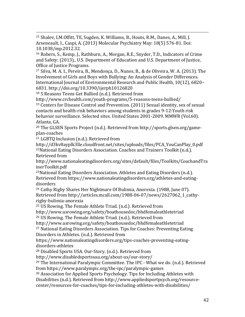$\overline{a}$ <sup>15</sup> Shalev, I,M.Offitt, TE, Sugden, K. Williams, B., Houts, R.M., Danes, A., Mill, J. Arseneault, I., Caspi, A. (2013) Molecular Psychiatry May: 18(5) 576-81. Doi: 10.1038/mp.2012.32.

<sup>16</sup> Robers, S., Kemp, J., Rathburn, A., Morgan, R.E., Snyder, T.D., Indicators of Crime and Safety: (2013)., U.S. Department of Education and U.S. Department of Justice, Office of Justice Programs.

<sup>17</sup> Silva, M. A. I., Pereira, B., Mendonça, D., Nunes, B., & de Oliveira, W. A. (2013). The Involvement of Girls and Boys with Bullying: An Analysis of Gender Differences. International Journal of Environmental Research and Public Health, 10(12), 6820– 6831. http://doi.org/10.3390/ijerph10126820

<sup>18</sup> 5 Reasons Teens Get Bullied (n.d.). Retrieved from

http://www.crchealth.com/youth-programs/5-reasons-teens-bullied/

<sup>19</sup> Centers for Disease Control and Prevention. (2011) Sexual identity, sex of sexual contacts and health-risk behaviors among students in grades 9-12:Youth risk behavior surveillance. Selected sites. United States 2001-2009. MMWR (Vol.60). Atlanta, GA.

<sup>20</sup> The GLSEN Sports Project (n.d.). Retrieved from http://sports.glsen.org/gameplan-coaches

<sup>21</sup> LGBTQ Inclusion (n.d.). Retrieved from

http://d3kv8ayplk3lle.cloudfront.net/sites/uploads/files/PCA\_YouCanPlay\_0.pdf <sup>22</sup>National Eating Disorders Association. Coaches and Trainers Toolkit (n.d.). Retrieved from

[http://www.nationaleatingdisorders.org/sites/default/files/Toolkits/CoachandTra](http://www.nationaleatingdisorders.org/sites/default/files/Toolkits/CoachandTrainerToolkit.pdf) [inerToolkit.pdf](http://www.nationaleatingdisorders.org/sites/default/files/Toolkits/CoachandTrainerToolkit.pdf)

<sup>23</sup>National Eating Disorders Association. Athletes and Eating Disorders (n.d.). Retrieved from https://www.nationaleatingdisorders.org/athletes-and-eatingdisorders

<sup>24</sup> Cathy Rigby Shares Her Nightmare Of Bulimia, Anorexia. (1988, June 07). Retrieved from http://articles.mcall.com/1988-06-07/news/2627062\_1\_cathyrigby-bulimia-anorexia

<sup>25</sup> US Rowing. The Female Athlete Triad. (n.d.). Retrieved from

http://www.usrowing.org/safety/boathousedoc/bhdfemaleathletetriad

<sup>26</sup> US Rowing. The Female Athlete Triad. (n.d.). Retrieved from

http://www.usrowing.org/safety/boathousedoc/bhdfemaleathletetriad

<sup>27</sup> National Eating Disorders Association. Tips for Coaches: Preventing Eating Disorders in Athletes. (n.d.). Retrieved from

https://www.nationaleatingdisorders.org/tips-coaches-preventing-eatingdisorders-athletes

<sup>28</sup> Disabled Sports USA. Our-Story. (n.d.). Retrieved from

http://www.disabledsportsusa.org/about-us/our-story/

 $29$  The International Paralympic Committee. The IPC - What we do. (n.d.). Retrieved from https://www.paralympic.org/the-ipc/paralympic-games

<sup>30</sup> Association for Applied Sports Psychology. Tips for Including Athletes with Disabilities (n.d.). Retrieved from http://www.appliedsportpsych.org/resourcecenter/resources-for-coaches/tips-for-including-athletes-with-disabilities/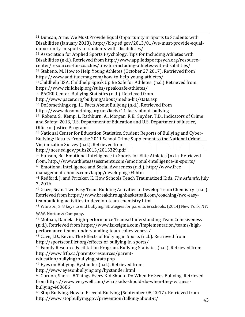$\overline{a}$ <sup>31</sup> Duncan, Arne. We Must Provide Equal Opportunity in Sports to Students with Disabilities (January 2013). http://blog.ed.gov/2013/01/we-must-provide-equalopportunity-in-sports-to-students-with-disabilities/

<sup>32</sup> Association for Applied Sports Psychology. Tips for Including Athletes with Disabilities (n.d.). Retrieved from http://www.appliedsportpsych.org/resourcecenter/resources-for-coaches/tips-for-including-athletes-with-disabilities/

<sup>33</sup> Stabeno, M. How to Help Young Athletes (October 27 2017). Retrieved from https://www.additudemag.com/how-to-help-young-athletes/

<sup>34</sup>Childhelp USA. Childhelp Speak Up Be Safe for Athletes. (n.d.) Retrieved from https://www.childhelp.org/subs/speak-safe-athletes/

<sup>35</sup> PACER Center. Bullying Statistics (n.d.). Retrieved from

http://www.pacer.org/bullying/about/media-kit/stats.asp

<sup>36</sup> DoSomething.org. 11 Facts About Bullying (n.d.). Retrieved from

https://www.dosomething.org/us/facts/11-facts-about-bullying

<sup>37</sup> Robers, S., Kemp, J., Rathburn, A., Morgan, R.E., Snyder, T.D., Indicators of Crime and Safety: 2013, U.S. Department of Education and U.S. Department of Justice, Office of Justice Programs

<sup>38</sup> National Center for Education Statistics. Student Reports of Bullying and Cyber-Bullying: Results From the 2011 School Crime Supplement to the National Crime Victimization Survey (n.d.). Retrieved from

http://nces.ed.gov/pubs2013/2013329.pdf

<sup>39</sup> Hanson, Bo. Emotional Intelligence in Sports for Elite Athletes (n.d.). Retrieved from: http://www.athleteassessments.com/emotional-intelligence-in-sports/ <sup>40</sup> Emotional Intelligence and Social Awareness (n.d.). http://www.free-

management-ebooks.com/faqpp/developing-04.htm

<sup>41</sup> Redford, J. and Pritzker, K. How Schools Teach Traumatized Kids. *The Atlantic*, July 7, 2016.

<sup>42</sup> Glaze, Sean. Two Easy Team Building Activities to Develop Team Chemistry (n.d.). Retrieved from https://www.breakthroughbasketball.com/coaching/two-easyteambuilding-activities-to-develop-team-chemistry.html

<sup>43</sup> Whitson, S. 8 keys to end bullying: Strategies for parents & schools. (2014) New York, NY:

W.W. Norton & Company**.**

<sup>44</sup> Molnau, Daniela. High-performance Teams: Understanding Team Cohesiveness (n.d.). Retrieved from https://www.isixsigma.com/implementation/teams/highperformance-teams-understanding-team-cohesiveness/

<sup>45</sup> Cave, J.D., Kevin. The Effects of Bullying in Sports (n.d.). Retrieved from

http://sportsconflict.org/effects-of-bullying-in-sports/

<sup>46</sup> Family Resource Facilitation Program. Bullying Statistics (n.d.). Retrieved from http://www.frfp.ca/parents-resources/parent-

education/bullying/bullying\_stats.php

<sup>47</sup> Eyes on Bullying. Bystander (n.d.). Retrieved from

http://www.eyesonbullying.org/bystander.html

<sup>48</sup> Gordon, Sherri. 8 Things Every Kid Should Do When He Sees Bullying. Retrieved from https://www.verywell.com/what-kids-should-do-when-they-witnessbullying-460686

<sup>49</sup> Stop Bullying. How to Prevent Bullying (September 08, 2017). Retrieved from http://www.stopbullying.gov/prevention/talking-about-it/